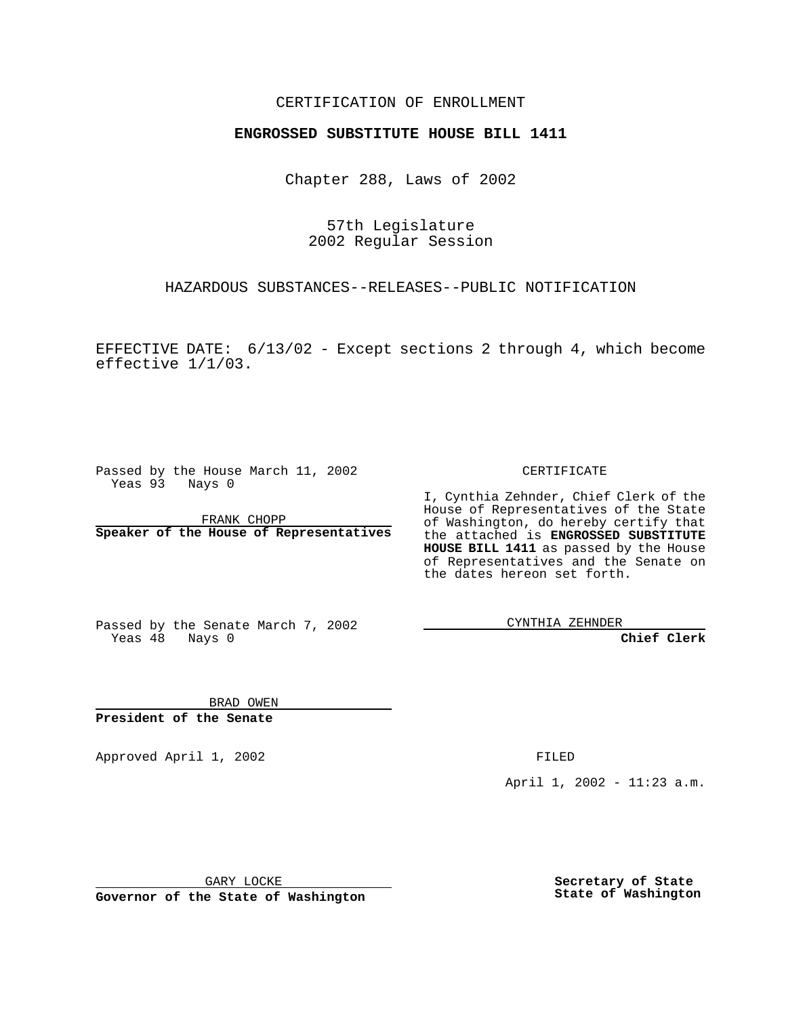## CERTIFICATION OF ENROLLMENT

# **ENGROSSED SUBSTITUTE HOUSE BILL 1411**

Chapter 288, Laws of 2002

57th Legislature 2002 Regular Session

HAZARDOUS SUBSTANCES--RELEASES--PUBLIC NOTIFICATION

EFFECTIVE DATE: 6/13/02 - Except sections 2 through 4, which become effective 1/1/03.

Passed by the House March 11, 2002 Yeas 93 Nays 0

FRANK CHOPP **Speaker of the House of Representatives** CERTIFICATE

I, Cynthia Zehnder, Chief Clerk of the House of Representatives of the State of Washington, do hereby certify that the attached is **ENGROSSED SUBSTITUTE HOUSE BILL 1411** as passed by the House of Representatives and the Senate on the dates hereon set forth.

Passed by the Senate March 7, 2002 Yeas 48 Nays 0

CYNTHIA ZEHNDER

**Chief Clerk**

BRAD OWEN **President of the Senate**

Approved April 1, 2002 FILED

April 1, 2002 - 11:23 a.m.

GARY LOCKE

**Governor of the State of Washington**

**Secretary of State State of Washington**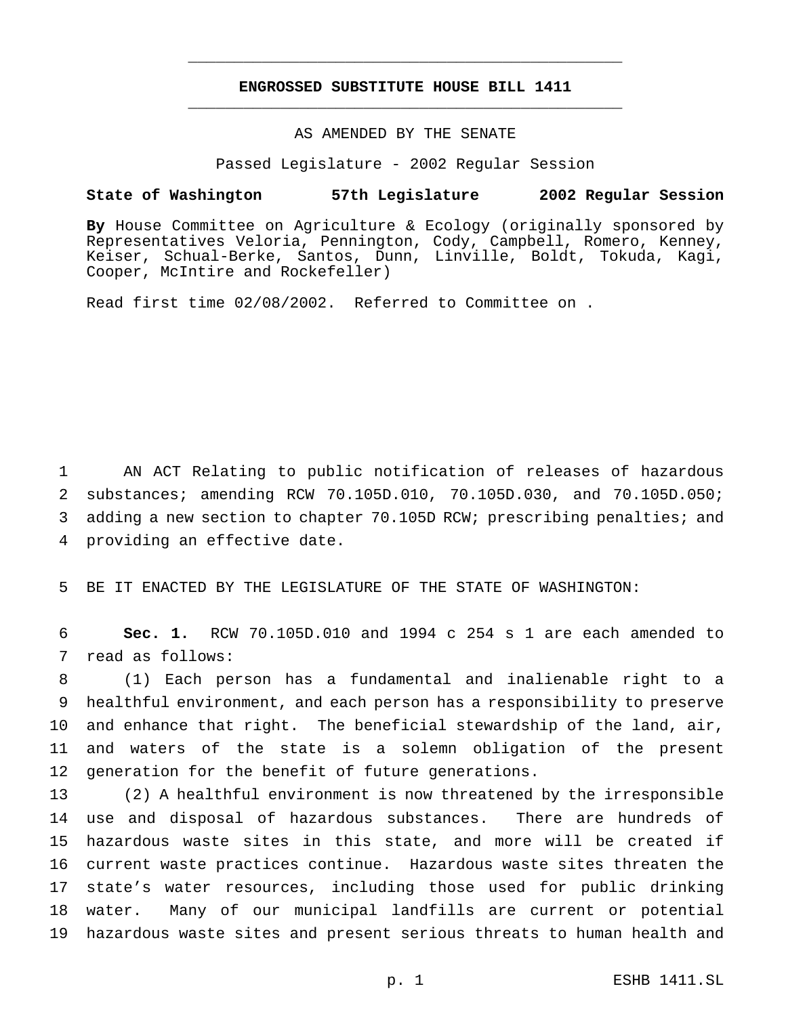## **ENGROSSED SUBSTITUTE HOUSE BILL 1411** \_\_\_\_\_\_\_\_\_\_\_\_\_\_\_\_\_\_\_\_\_\_\_\_\_\_\_\_\_\_\_\_\_\_\_\_\_\_\_\_\_\_\_\_\_\_\_

\_\_\_\_\_\_\_\_\_\_\_\_\_\_\_\_\_\_\_\_\_\_\_\_\_\_\_\_\_\_\_\_\_\_\_\_\_\_\_\_\_\_\_\_\_\_\_

## AS AMENDED BY THE SENATE

Passed Legislature - 2002 Regular Session

#### **State of Washington 57th Legislature 2002 Regular Session**

**By** House Committee on Agriculture & Ecology (originally sponsored by Representatives Veloria, Pennington, Cody, Campbell, Romero, Kenney, Keiser, Schual-Berke, Santos, Dunn, Linville, Boldt, Tokuda, Kagi, Cooper, McIntire and Rockefeller)

Read first time 02/08/2002. Referred to Committee on .

 AN ACT Relating to public notification of releases of hazardous substances; amending RCW 70.105D.010, 70.105D.030, and 70.105D.050; adding a new section to chapter 70.105D RCW; prescribing penalties; and providing an effective date.

BE IT ENACTED BY THE LEGISLATURE OF THE STATE OF WASHINGTON:

 **Sec. 1.** RCW 70.105D.010 and 1994 c 254 s 1 are each amended to read as follows:

 (1) Each person has a fundamental and inalienable right to a healthful environment, and each person has a responsibility to preserve and enhance that right. The beneficial stewardship of the land, air, and waters of the state is a solemn obligation of the present generation for the benefit of future generations.

 (2) A healthful environment is now threatened by the irresponsible use and disposal of hazardous substances. There are hundreds of hazardous waste sites in this state, and more will be created if current waste practices continue. Hazardous waste sites threaten the state's water resources, including those used for public drinking water. Many of our municipal landfills are current or potential hazardous waste sites and present serious threats to human health and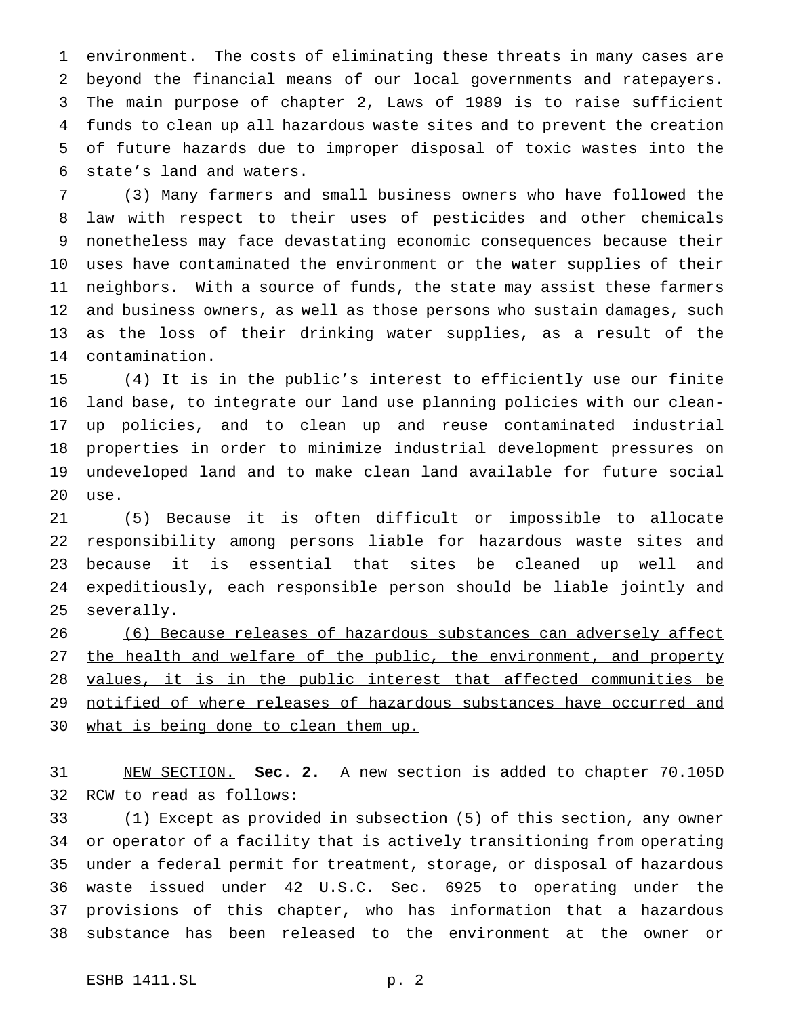environment. The costs of eliminating these threats in many cases are beyond the financial means of our local governments and ratepayers. The main purpose of chapter 2, Laws of 1989 is to raise sufficient funds to clean up all hazardous waste sites and to prevent the creation of future hazards due to improper disposal of toxic wastes into the state's land and waters.

 (3) Many farmers and small business owners who have followed the law with respect to their uses of pesticides and other chemicals nonetheless may face devastating economic consequences because their uses have contaminated the environment or the water supplies of their neighbors. With a source of funds, the state may assist these farmers and business owners, as well as those persons who sustain damages, such as the loss of their drinking water supplies, as a result of the contamination.

 (4) It is in the public's interest to efficiently use our finite land base, to integrate our land use planning policies with our clean- up policies, and to clean up and reuse contaminated industrial properties in order to minimize industrial development pressures on undeveloped land and to make clean land available for future social use.

 (5) Because it is often difficult or impossible to allocate responsibility among persons liable for hazardous waste sites and because it is essential that sites be cleaned up well and expeditiously, each responsible person should be liable jointly and severally.

26 (6) Because releases of hazardous substances can adversely affect 27 the health and welfare of the public, the environment, and property 28 values, it is in the public interest that affected communities be 29 notified of where releases of hazardous substances have occurred and what is being done to clean them up.

 NEW SECTION. **Sec. 2.** A new section is added to chapter 70.105D RCW to read as follows:

 (1) Except as provided in subsection (5) of this section, any owner or operator of a facility that is actively transitioning from operating under a federal permit for treatment, storage, or disposal of hazardous waste issued under 42 U.S.C. Sec. 6925 to operating under the provisions of this chapter, who has information that a hazardous substance has been released to the environment at the owner or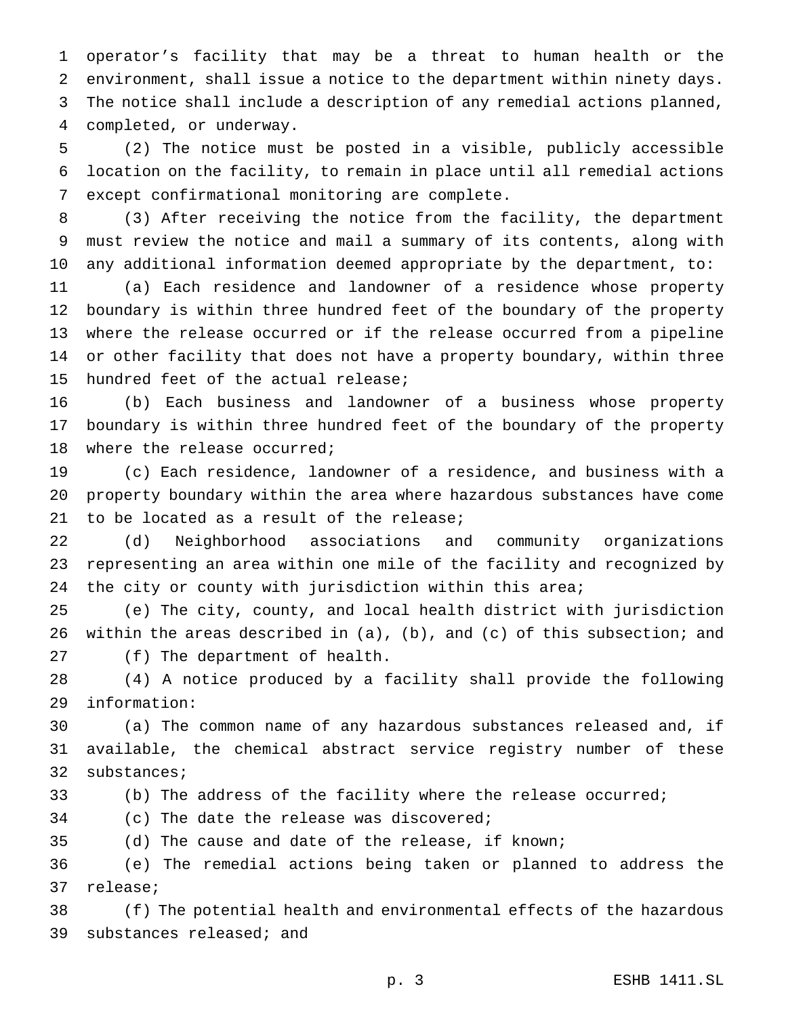operator's facility that may be a threat to human health or the environment, shall issue a notice to the department within ninety days. The notice shall include a description of any remedial actions planned, completed, or underway.

 (2) The notice must be posted in a visible, publicly accessible location on the facility, to remain in place until all remedial actions except confirmational monitoring are complete.

 (3) After receiving the notice from the facility, the department must review the notice and mail a summary of its contents, along with any additional information deemed appropriate by the department, to:

 (a) Each residence and landowner of a residence whose property boundary is within three hundred feet of the boundary of the property where the release occurred or if the release occurred from a pipeline or other facility that does not have a property boundary, within three hundred feet of the actual release;

 (b) Each business and landowner of a business whose property boundary is within three hundred feet of the boundary of the property where the release occurred;

 (c) Each residence, landowner of a residence, and business with a property boundary within the area where hazardous substances have come 21 to be located as a result of the release;

 (d) Neighborhood associations and community organizations representing an area within one mile of the facility and recognized by 24 the city or county with jurisdiction within this area;

 (e) The city, county, and local health district with jurisdiction within the areas described in (a), (b), and (c) of this subsection; and (f) The department of health.

 (4) A notice produced by a facility shall provide the following information:

 (a) The common name of any hazardous substances released and, if available, the chemical abstract service registry number of these substances;

(b) The address of the facility where the release occurred;

(c) The date the release was discovered;

(d) The cause and date of the release, if known;

 (e) The remedial actions being taken or planned to address the release;

 (f) The potential health and environmental effects of the hazardous substances released; and

p. 3 ESHB 1411.SL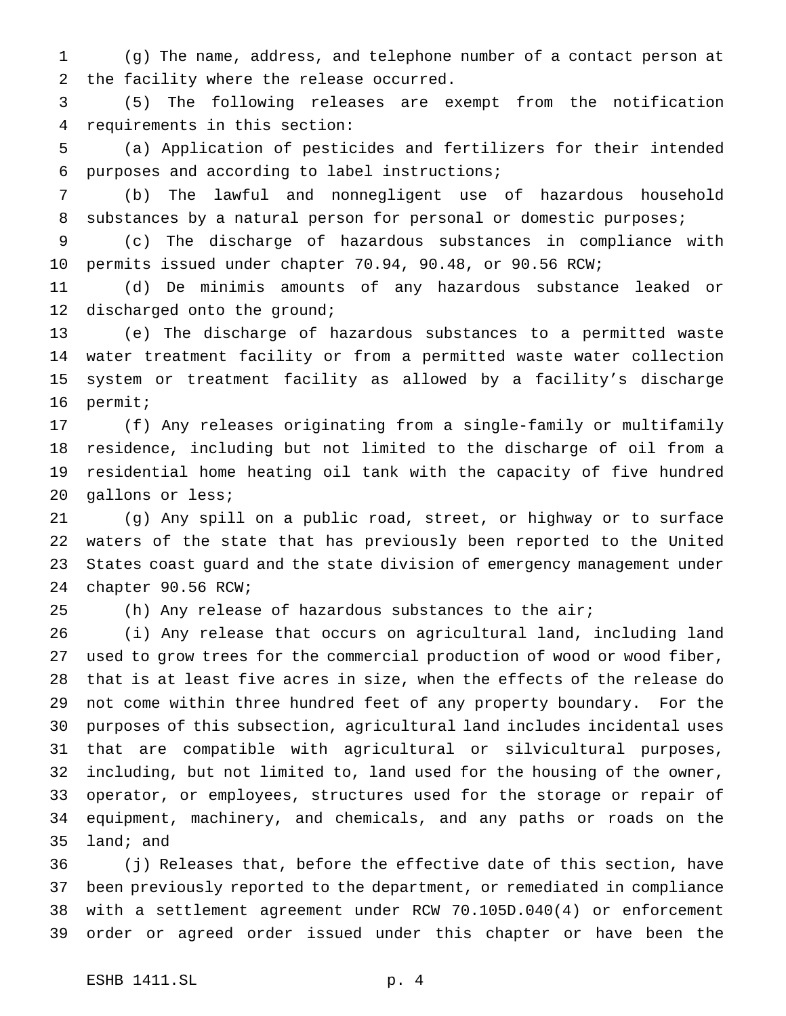(g) The name, address, and telephone number of a contact person at the facility where the release occurred.

 (5) The following releases are exempt from the notification requirements in this section:

 (a) Application of pesticides and fertilizers for their intended purposes and according to label instructions;

 (b) The lawful and nonnegligent use of hazardous household 8 substances by a natural person for personal or domestic purposes;

 (c) The discharge of hazardous substances in compliance with permits issued under chapter 70.94, 90.48, or 90.56 RCW;

 (d) De minimis amounts of any hazardous substance leaked or 12 discharged onto the ground;

 (e) The discharge of hazardous substances to a permitted waste water treatment facility or from a permitted waste water collection system or treatment facility as allowed by a facility's discharge permit;

 (f) Any releases originating from a single-family or multifamily residence, including but not limited to the discharge of oil from a residential home heating oil tank with the capacity of five hundred gallons or less;

 (g) Any spill on a public road, street, or highway or to surface waters of the state that has previously been reported to the United States coast guard and the state division of emergency management under chapter 90.56 RCW;

(h) Any release of hazardous substances to the air;

 (i) Any release that occurs on agricultural land, including land used to grow trees for the commercial production of wood or wood fiber, that is at least five acres in size, when the effects of the release do not come within three hundred feet of any property boundary. For the purposes of this subsection, agricultural land includes incidental uses that are compatible with agricultural or silvicultural purposes, including, but not limited to, land used for the housing of the owner, operator, or employees, structures used for the storage or repair of equipment, machinery, and chemicals, and any paths or roads on the land; and

 (j) Releases that, before the effective date of this section, have been previously reported to the department, or remediated in compliance with a settlement agreement under RCW 70.105D.040(4) or enforcement order or agreed order issued under this chapter or have been the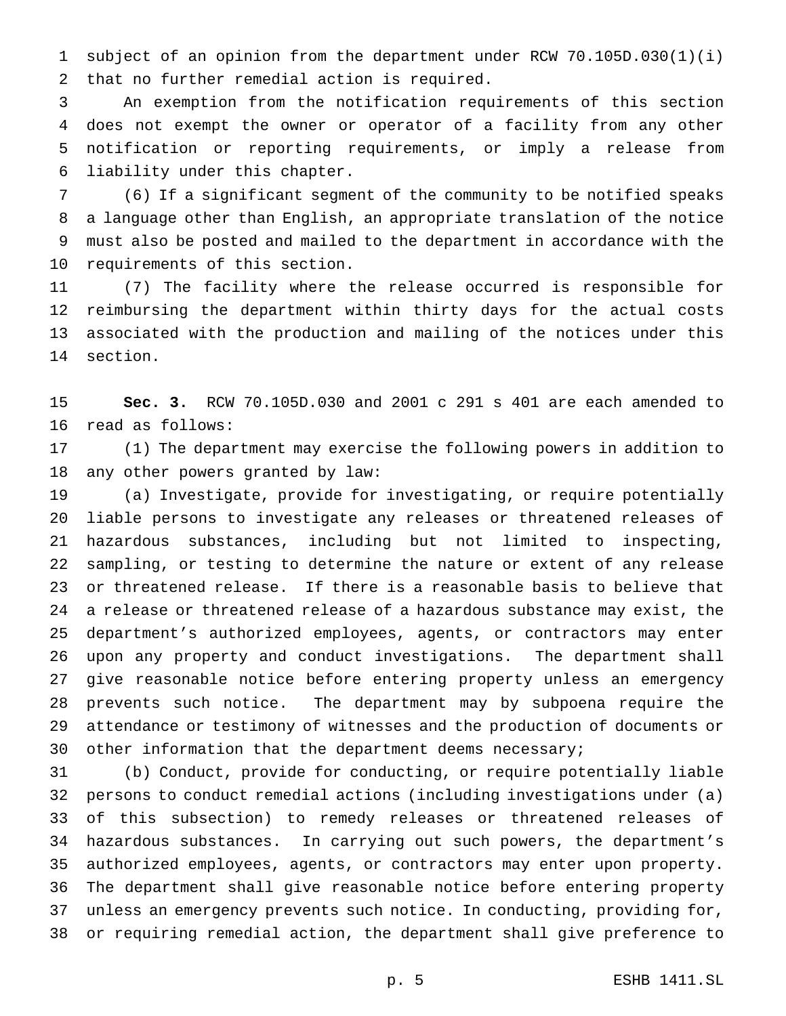subject of an opinion from the department under RCW 70.105D.030(1)(i) that no further remedial action is required.

 An exemption from the notification requirements of this section does not exempt the owner or operator of a facility from any other notification or reporting requirements, or imply a release from liability under this chapter.

 (6) If a significant segment of the community to be notified speaks a language other than English, an appropriate translation of the notice must also be posted and mailed to the department in accordance with the requirements of this section.

 (7) The facility where the release occurred is responsible for reimbursing the department within thirty days for the actual costs associated with the production and mailing of the notices under this section.

 **Sec. 3.** RCW 70.105D.030 and 2001 c 291 s 401 are each amended to read as follows:

 (1) The department may exercise the following powers in addition to any other powers granted by law:

 (a) Investigate, provide for investigating, or require potentially liable persons to investigate any releases or threatened releases of hazardous substances, including but not limited to inspecting, sampling, or testing to determine the nature or extent of any release or threatened release. If there is a reasonable basis to believe that a release or threatened release of a hazardous substance may exist, the department's authorized employees, agents, or contractors may enter upon any property and conduct investigations. The department shall give reasonable notice before entering property unless an emergency prevents such notice. The department may by subpoena require the attendance or testimony of witnesses and the production of documents or 30 other information that the department deems necessary;

 (b) Conduct, provide for conducting, or require potentially liable persons to conduct remedial actions (including investigations under (a) of this subsection) to remedy releases or threatened releases of hazardous substances. In carrying out such powers, the department's authorized employees, agents, or contractors may enter upon property. The department shall give reasonable notice before entering property unless an emergency prevents such notice. In conducting, providing for, or requiring remedial action, the department shall give preference to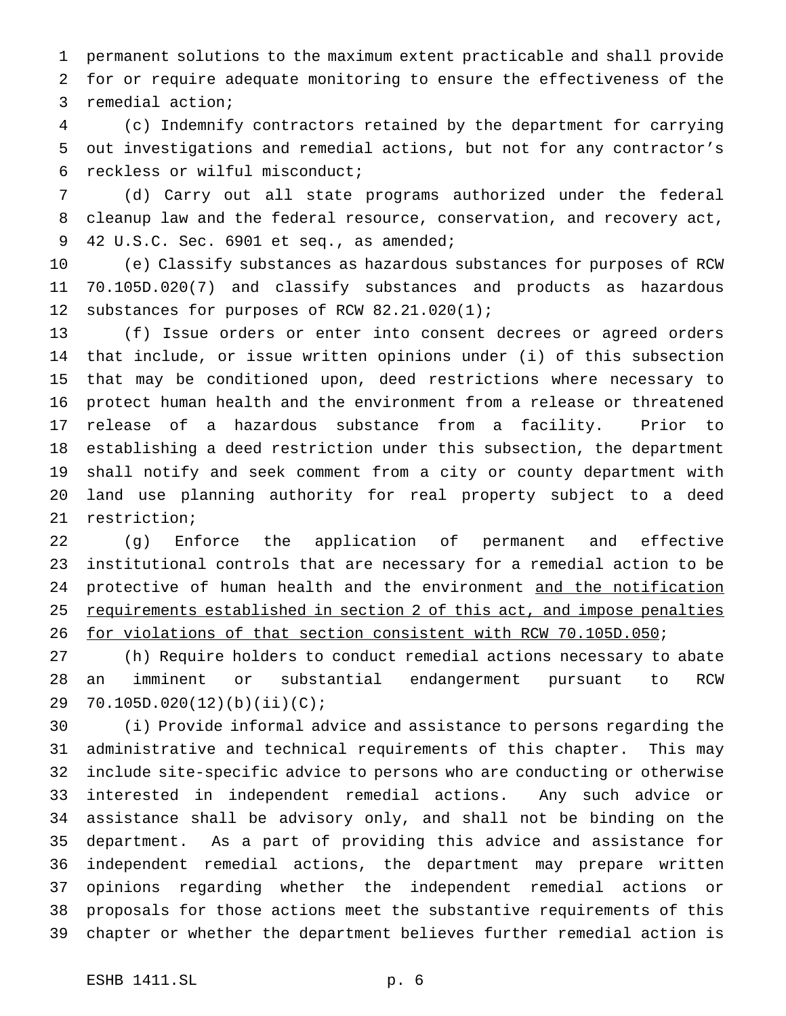permanent solutions to the maximum extent practicable and shall provide for or require adequate monitoring to ensure the effectiveness of the remedial action;

 (c) Indemnify contractors retained by the department for carrying out investigations and remedial actions, but not for any contractor's reckless or wilful misconduct;

 (d) Carry out all state programs authorized under the federal cleanup law and the federal resource, conservation, and recovery act, 42 U.S.C. Sec. 6901 et seq., as amended;

 (e) Classify substances as hazardous substances for purposes of RCW 70.105D.020(7) and classify substances and products as hazardous substances for purposes of RCW 82.21.020(1);

 (f) Issue orders or enter into consent decrees or agreed orders that include, or issue written opinions under (i) of this subsection that may be conditioned upon, deed restrictions where necessary to protect human health and the environment from a release or threatened release of a hazardous substance from a facility. Prior to establishing a deed restriction under this subsection, the department shall notify and seek comment from a city or county department with land use planning authority for real property subject to a deed restriction;

 (g) Enforce the application of permanent and effective institutional controls that are necessary for a remedial action to be 24 protective of human health and the environment and the notification 25 requirements established in section 2 of this act, and impose penalties 26 for violations of that section consistent with RCW 70.105D.050;

 (h) Require holders to conduct remedial actions necessary to abate an imminent or substantial endangerment pursuant to RCW 70.105D.020(12)(b)(ii)(C);

 (i) Provide informal advice and assistance to persons regarding the administrative and technical requirements of this chapter. This may include site-specific advice to persons who are conducting or otherwise interested in independent remedial actions. Any such advice or assistance shall be advisory only, and shall not be binding on the department. As a part of providing this advice and assistance for independent remedial actions, the department may prepare written opinions regarding whether the independent remedial actions or proposals for those actions meet the substantive requirements of this chapter or whether the department believes further remedial action is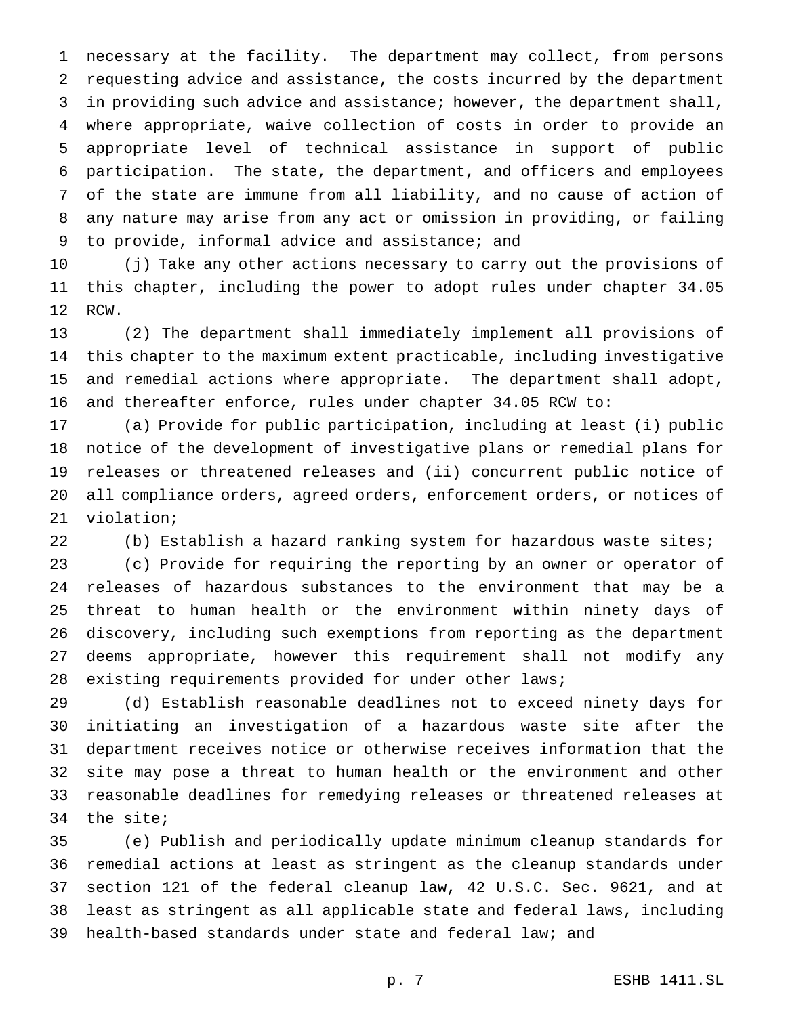necessary at the facility. The department may collect, from persons requesting advice and assistance, the costs incurred by the department in providing such advice and assistance; however, the department shall, where appropriate, waive collection of costs in order to provide an appropriate level of technical assistance in support of public participation. The state, the department, and officers and employees of the state are immune from all liability, and no cause of action of any nature may arise from any act or omission in providing, or failing to provide, informal advice and assistance; and

 (j) Take any other actions necessary to carry out the provisions of this chapter, including the power to adopt rules under chapter 34.05 RCW.

 (2) The department shall immediately implement all provisions of this chapter to the maximum extent practicable, including investigative and remedial actions where appropriate. The department shall adopt, and thereafter enforce, rules under chapter 34.05 RCW to:

 (a) Provide for public participation, including at least (i) public notice of the development of investigative plans or remedial plans for releases or threatened releases and (ii) concurrent public notice of all compliance orders, agreed orders, enforcement orders, or notices of violation;

(b) Establish a hazard ranking system for hazardous waste sites;

 (c) Provide for requiring the reporting by an owner or operator of releases of hazardous substances to the environment that may be a threat to human health or the environment within ninety days of discovery, including such exemptions from reporting as the department deems appropriate, however this requirement shall not modify any existing requirements provided for under other laws;

 (d) Establish reasonable deadlines not to exceed ninety days for initiating an investigation of a hazardous waste site after the department receives notice or otherwise receives information that the site may pose a threat to human health or the environment and other reasonable deadlines for remedying releases or threatened releases at the site;

 (e) Publish and periodically update minimum cleanup standards for remedial actions at least as stringent as the cleanup standards under section 121 of the federal cleanup law, 42 U.S.C. Sec. 9621, and at least as stringent as all applicable state and federal laws, including health-based standards under state and federal law; and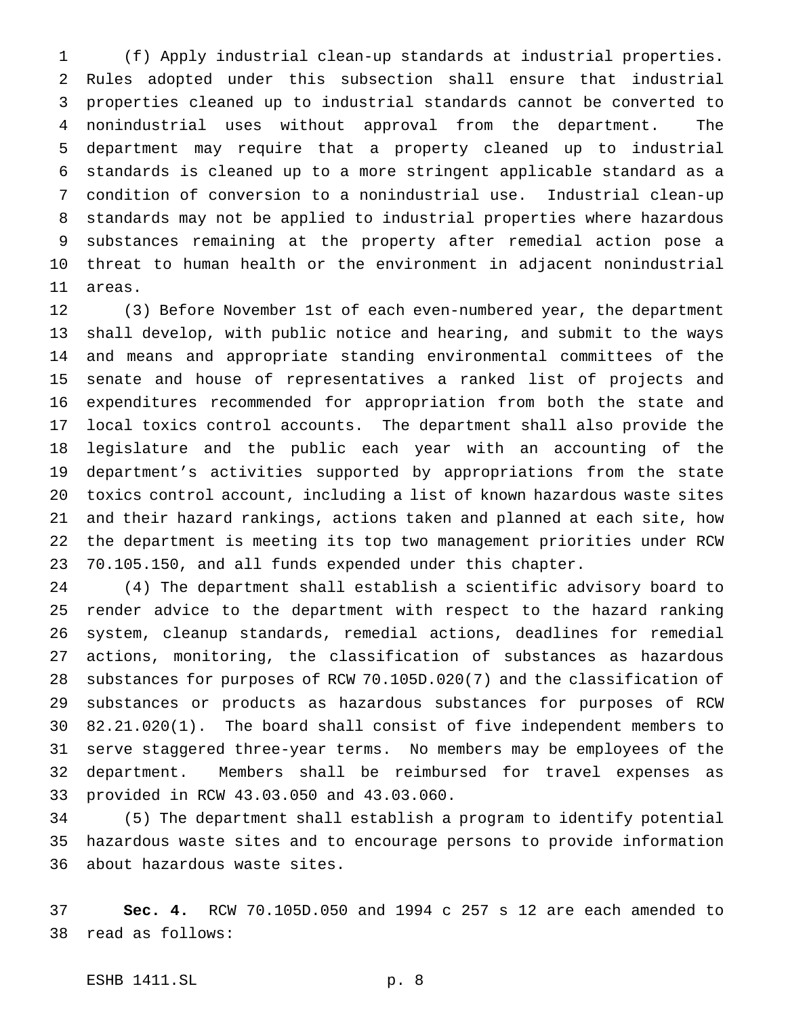(f) Apply industrial clean-up standards at industrial properties. Rules adopted under this subsection shall ensure that industrial properties cleaned up to industrial standards cannot be converted to nonindustrial uses without approval from the department. The department may require that a property cleaned up to industrial standards is cleaned up to a more stringent applicable standard as a condition of conversion to a nonindustrial use. Industrial clean-up standards may not be applied to industrial properties where hazardous substances remaining at the property after remedial action pose a threat to human health or the environment in adjacent nonindustrial areas.

 (3) Before November 1st of each even-numbered year, the department shall develop, with public notice and hearing, and submit to the ways and means and appropriate standing environmental committees of the senate and house of representatives a ranked list of projects and expenditures recommended for appropriation from both the state and local toxics control accounts. The department shall also provide the legislature and the public each year with an accounting of the department's activities supported by appropriations from the state toxics control account, including a list of known hazardous waste sites and their hazard rankings, actions taken and planned at each site, how the department is meeting its top two management priorities under RCW 70.105.150, and all funds expended under this chapter.

 (4) The department shall establish a scientific advisory board to render advice to the department with respect to the hazard ranking system, cleanup standards, remedial actions, deadlines for remedial actions, monitoring, the classification of substances as hazardous substances for purposes of RCW 70.105D.020(7) and the classification of substances or products as hazardous substances for purposes of RCW 82.21.020(1). The board shall consist of five independent members to serve staggered three-year terms. No members may be employees of the department. Members shall be reimbursed for travel expenses as provided in RCW 43.03.050 and 43.03.060.

 (5) The department shall establish a program to identify potential hazardous waste sites and to encourage persons to provide information about hazardous waste sites.

 **Sec. 4.** RCW 70.105D.050 and 1994 c 257 s 12 are each amended to read as follows: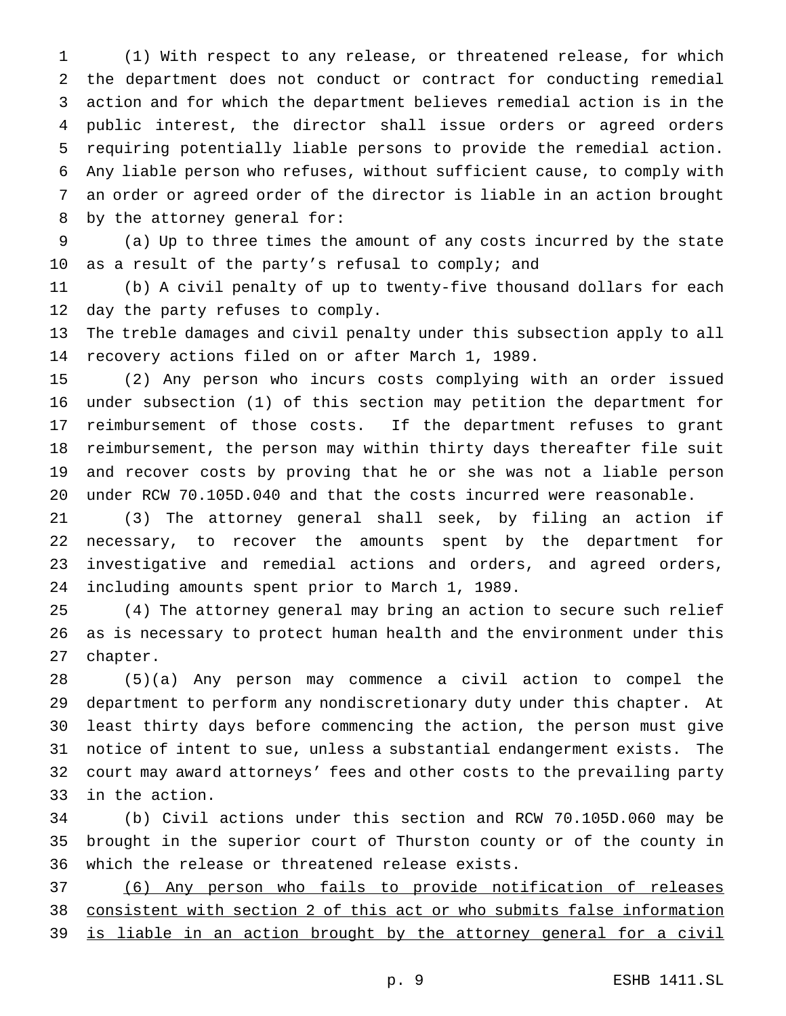(1) With respect to any release, or threatened release, for which the department does not conduct or contract for conducting remedial action and for which the department believes remedial action is in the public interest, the director shall issue orders or agreed orders requiring potentially liable persons to provide the remedial action. Any liable person who refuses, without sufficient cause, to comply with an order or agreed order of the director is liable in an action brought by the attorney general for:

 (a) Up to three times the amount of any costs incurred by the state as a result of the party's refusal to comply; and

 (b) A civil penalty of up to twenty-five thousand dollars for each day the party refuses to comply.

 The treble damages and civil penalty under this subsection apply to all recovery actions filed on or after March 1, 1989.

 (2) Any person who incurs costs complying with an order issued under subsection (1) of this section may petition the department for reimbursement of those costs. If the department refuses to grant reimbursement, the person may within thirty days thereafter file suit and recover costs by proving that he or she was not a liable person under RCW 70.105D.040 and that the costs incurred were reasonable.

 (3) The attorney general shall seek, by filing an action if necessary, to recover the amounts spent by the department for investigative and remedial actions and orders, and agreed orders, including amounts spent prior to March 1, 1989.

 (4) The attorney general may bring an action to secure such relief as is necessary to protect human health and the environment under this chapter.

 (5)(a) Any person may commence a civil action to compel the department to perform any nondiscretionary duty under this chapter. At least thirty days before commencing the action, the person must give notice of intent to sue, unless a substantial endangerment exists. The court may award attorneys' fees and other costs to the prevailing party in the action.

 (b) Civil actions under this section and RCW 70.105D.060 may be brought in the superior court of Thurston county or of the county in which the release or threatened release exists.

 (6) Any person who fails to provide notification of releases consistent with section 2 of this act or who submits false information 39 is liable in an action brought by the attorney general for a civil